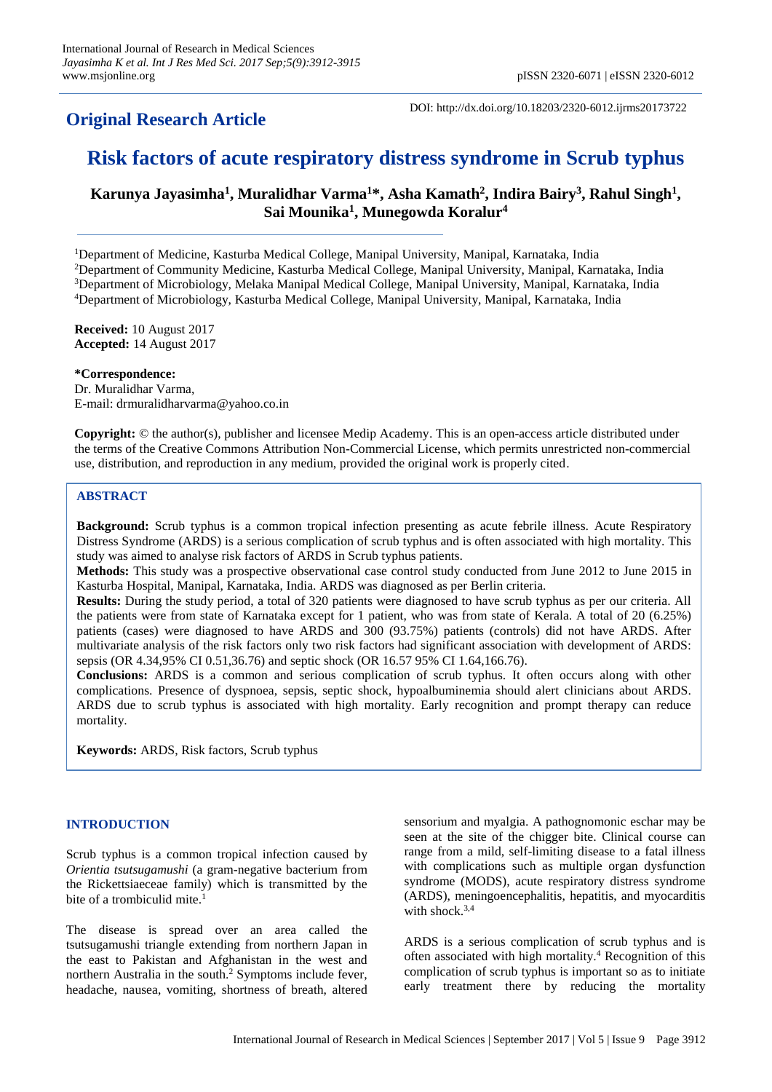## **Original Research Article**

DOI: http://dx.doi.org/10.18203/2320-6012.ijrms20173722

# **Risk factors of acute respiratory distress syndrome in Scrub typhus**

**Karunya Jayasimha<sup>1</sup> , Muralidhar Varma<sup>1</sup>\*, Asha Kamath<sup>2</sup> , Indira Bairy<sup>3</sup> , Rahul Singh<sup>1</sup> , Sai Mounika<sup>1</sup> , Munegowda Koralur<sup>4</sup>**

Department of Medicine, Kasturba Medical College, Manipal University, Manipal, Karnataka, India Department of Community Medicine, Kasturba Medical College, Manipal University, Manipal, Karnataka, India Department of Microbiology, Melaka Manipal Medical College, Manipal University, Manipal, Karnataka, India Department of Microbiology, Kasturba Medical College, Manipal University, Manipal, Karnataka, India

**Received:** 10 August 2017 **Accepted:** 14 August 2017

**\*Correspondence:** Dr. Muralidhar Varma, E-mail: drmuralidharvarma@yahoo.co.in

**Copyright:** © the author(s), publisher and licensee Medip Academy. This is an open-access article distributed under the terms of the Creative Commons Attribution Non-Commercial License, which permits unrestricted non-commercial use, distribution, and reproduction in any medium, provided the original work is properly cited.

## **ABSTRACT**

**Background:** Scrub typhus is a common tropical infection presenting as acute febrile illness. Acute Respiratory Distress Syndrome (ARDS) is a serious complication of scrub typhus and is often associated with high mortality. This study was aimed to analyse risk factors of ARDS in Scrub typhus patients.

**Methods:** This study was a prospective observational case control study conducted from June 2012 to June 2015 in Kasturba Hospital, Manipal, Karnataka, India. ARDS was diagnosed as per Berlin criteria.

**Results:** During the study period, a total of 320 patients were diagnosed to have scrub typhus as per our criteria. All the patients were from state of Karnataka except for 1 patient, who was from state of Kerala. A total of 20 (6.25%) patients (cases) were diagnosed to have ARDS and 300 (93.75%) patients (controls) did not have ARDS. After multivariate analysis of the risk factors only two risk factors had significant association with development of ARDS: sepsis (OR 4.34,95% CI 0.51,36.76) and septic shock (OR 16.57 95% CI 1.64,166.76).

**Conclusions:** ARDS is a common and serious complication of scrub typhus. It often occurs along with other complications. Presence of dyspnoea, sepsis, septic shock, hypoalbuminemia should alert clinicians about ARDS. ARDS due to scrub typhus is associated with high mortality. Early recognition and prompt therapy can reduce mortality.

**Keywords:** ARDS, Risk factors, Scrub typhus

## **INTRODUCTION**

Scrub typhus is a common tropical infection caused by *Orientia tsutsugamushi* (a gram-negative bacterium from the Rickettsiaeceae family) which is transmitted by the bite of a trombiculid mite.<sup>1</sup>

The disease is spread over an area called the tsutsugamushi triangle extending from northern Japan in the east to Pakistan and Afghanistan in the west and northern Australia in the south.<sup>2</sup> Symptoms include fever, headache, nausea, vomiting, shortness of breath, altered sensorium and myalgia. A pathognomonic eschar may be seen at the site of the chigger bite. Clinical course can range from a mild, self-limiting disease to a fatal illness with complications such as multiple organ dysfunction syndrome (MODS), acute respiratory distress syndrome (ARDS), meningoencephalitis, hepatitis, and myocarditis with shock. $3,4$ 

ARDS is a serious complication of scrub typhus and is often associated with high mortality.<sup>4</sup> Recognition of this complication of scrub typhus is important so as to initiate early treatment there by reducing the mortality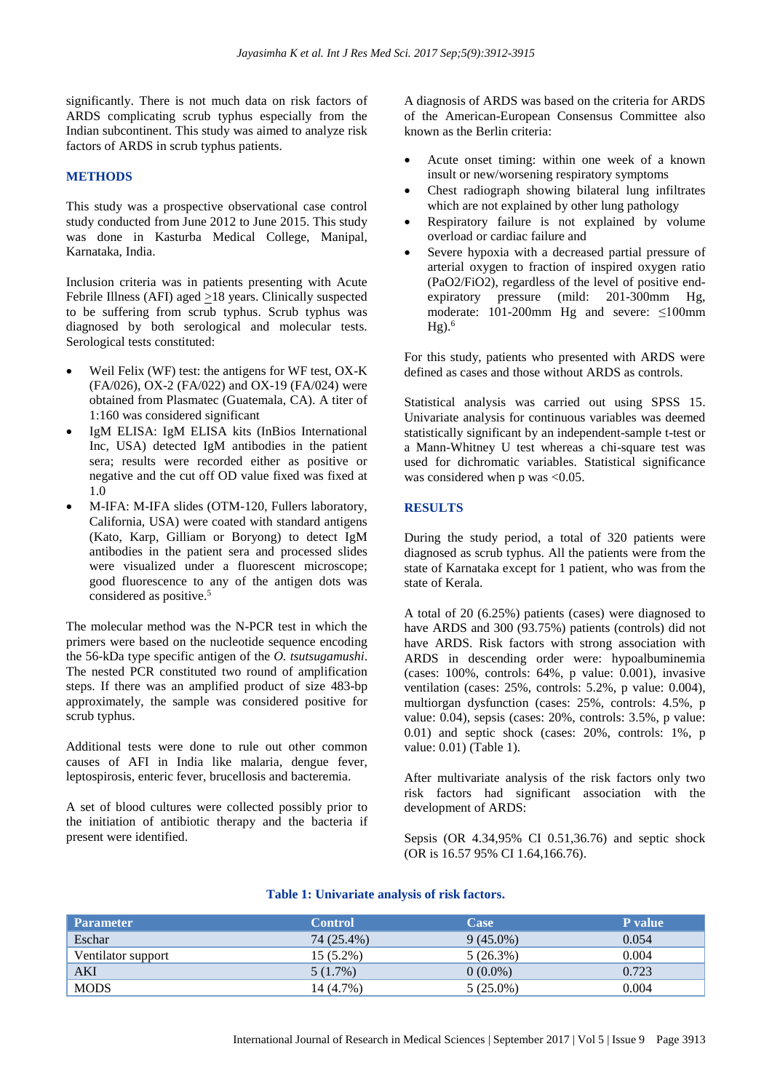significantly. There is not much data on risk factors of ARDS complicating scrub typhus especially from the Indian subcontinent. This study was aimed to analyze risk factors of ARDS in scrub typhus patients.

#### **METHODS**

This study was a prospective observational case control study conducted from June 2012 to June 2015. This study was done in Kasturba Medical College, Manipal, Karnataka, India.

Inclusion criteria was in patients presenting with Acute Febrile Illness (AFI) aged  $\geq$ 18 years. Clinically suspected to be suffering from scrub typhus. Scrub typhus was diagnosed by both serological and molecular tests. Serological tests constituted:

- Weil Felix (WF) test: the antigens for WF test, OX-K (FA/026), OX-2 (FA/022) and OX-19 (FA/024) were obtained from Plasmatec (Guatemala, CA). A titer of 1:160 was considered significant
- IgM ELISA: IgM ELISA kits (InBios International Inc, USA) detected IgM antibodies in the patient sera; results were recorded either as positive or negative and the cut off OD value fixed was fixed at 1.0
- M-IFA: M-IFA slides (OTM-120, Fullers laboratory, California, USA) were coated with standard antigens (Kato, Karp, Gilliam or Boryong) to detect IgM antibodies in the patient sera and processed slides were visualized under a fluorescent microscope; good fluorescence to any of the antigen dots was considered as positive.<sup>5</sup>

The molecular method was the N-PCR test in which the primers were based on the nucleotide sequence encoding the 56-kDa type specific antigen of the *O. tsutsugamushi*. The nested PCR constituted two round of amplification steps. If there was an amplified product of size 483-bp approximately, the sample was considered positive for scrub typhus.

Additional tests were done to rule out other common causes of AFI in India like malaria, dengue fever, leptospirosis, enteric fever, brucellosis and bacteremia.

A set of blood cultures were collected possibly prior to the initiation of antibiotic therapy and the bacteria if present were identified.

A diagnosis of ARDS was based on the criteria for ARDS of the American-European Consensus Committee also known as the Berlin criteria:

- Acute onset timing: within one week of a known insult or new/worsening respiratory symptoms
- Chest radiograph showing bilateral lung infiltrates which are not explained by other lung pathology
- Respiratory failure is not explained by volume overload or cardiac failure and
- Severe hypoxia with a decreased partial pressure of arterial oxygen to fraction of inspired oxygen ratio (PaO2/FiO2), regardless of the level of positive endexpiratory pressure (mild: 201-300mm Hg, moderate: 101-200mm Hg and severe: ≤100mm  $Hg$ ).<sup>6</sup>

For this study, patients who presented with ARDS were defined as cases and those without ARDS as controls.

Statistical analysis was carried out using SPSS 15. Univariate analysis for continuous variables was deemed statistically significant by an independent-sample t-test or a Mann-Whitney U test whereas a chi-square test was used for dichromatic variables. Statistical significance was considered when p was <0.05.

## **RESULTS**

During the study period, a total of 320 patients were diagnosed as scrub typhus. All the patients were from the state of Karnataka except for 1 patient, who was from the state of Kerala.

A total of 20 (6.25%) patients (cases) were diagnosed to have ARDS and 300 (93.75%) patients (controls) did not have ARDS. Risk factors with strong association with ARDS in descending order were: hypoalbuminemia (cases: 100%, controls: 64%, p value: 0.001), invasive ventilation (cases: 25%, controls: 5.2%, p value: 0.004), multiorgan dysfunction (cases: 25%, controls: 4.5%, p value: 0.04), sepsis (cases: 20%, controls: 3.5%, p value: 0.01) and septic shock (cases: 20%, controls: 1%, p value: 0.01) (Table 1).

After multivariate analysis of the risk factors only two risk factors had significant association with the development of ARDS:

Sepsis (OR 4.34,95% CI 0.51,36.76) and septic shock (OR is 16.57 95% CI 1.64,166.76).

| <b>Parameter</b>   | <b>Control</b> | <b>Case</b> | <b>P</b> value |
|--------------------|----------------|-------------|----------------|
| Eschar             | 74 (25.4%)     | $9(45.0\%)$ | 0.054          |
| Ventilator support | $15(5.2\%)$    | 5(26.3%)    | 0.004          |
| AKI                | 5(1.7%)        | $0(0.0\%)$  | 0.723          |
| <b>MODS</b>        | 14 (4.7%)      | $5(25.0\%)$ | 0.004          |

#### **Table 1: Univariate analysis of risk factors.**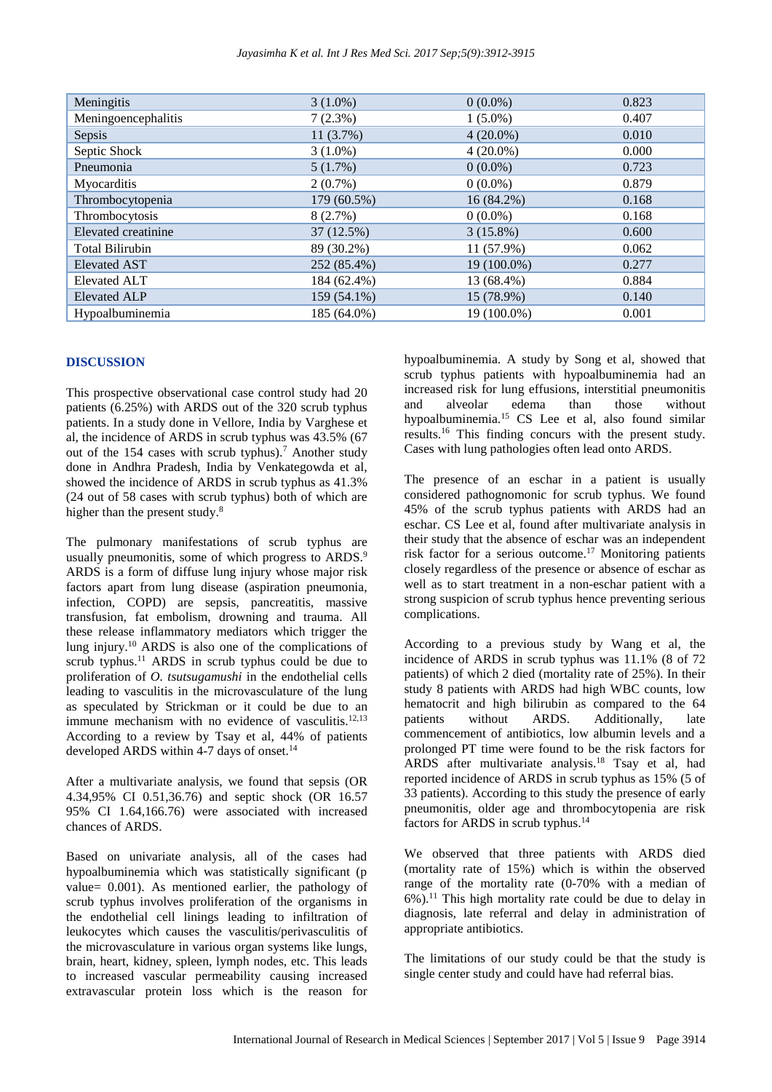| Meningitis             | $3(1.0\%)$  | $0(0.0\%)$   | 0.823 |
|------------------------|-------------|--------------|-------|
| Meningoencephalitis    | 7(2.3%)     | $1(5.0\%)$   | 0.407 |
| Sepsis                 | 11(3.7%)    | $4(20.0\%)$  | 0.010 |
| Septic Shock           | $3(1.0\%)$  | $4(20.0\%)$  | 0.000 |
| Pneumonia              | 5(1.7%)     | $0(0.0\%)$   | 0.723 |
| Myocarditis            | $2(0.7\%)$  | $0(0.0\%)$   | 0.879 |
| Thrombocytopenia       | 179 (60.5%) | $16(84.2\%)$ | 0.168 |
| Thrombocytosis         | 8(2.7%)     | $0(0.0\%)$   | 0.168 |
| Elevated creatinine    | 37 (12.5%)  | $3(15.8\%)$  | 0.600 |
| <b>Total Bilirubin</b> | 89 (30.2%)  | 11 (57.9%)   | 0.062 |
| <b>Elevated AST</b>    | 252 (85.4%) | 19 (100.0%)  | 0.277 |
| <b>Elevated ALT</b>    | 184 (62.4%) | 13 (68.4%)   | 0.884 |
| <b>Elevated ALP</b>    | 159 (54.1%) | 15 (78.9%)   | 0.140 |
| Hypoalbuminemia        | 185 (64.0%) | 19 (100.0%)  | 0.001 |

#### **DISCUSSION**

This prospective observational case control study had 20 patients (6.25%) with ARDS out of the 320 scrub typhus patients. In a study done in Vellore, India by Varghese et al, the incidence of ARDS in scrub typhus was 43.5% (67 out of the 154 cases with scrub typhus).<sup>7</sup> Another study done in Andhra Pradesh, India by Venkategowda et al, showed the incidence of ARDS in scrub typhus as 41.3% (24 out of 58 cases with scrub typhus) both of which are higher than the present study.<sup>8</sup>

The pulmonary manifestations of scrub typhus are usually pneumonitis, some of which progress to ARDS.<sup>9</sup> ARDS is a form of diffuse lung injury whose major risk factors apart from lung disease (aspiration pneumonia, infection, COPD) are sepsis, pancreatitis, massive transfusion, fat embolism, drowning and trauma. All these release inflammatory mediators which trigger the lung injury.<sup>10</sup> ARDS is also one of the complications of scrub typhus.<sup>11</sup> ARDS in scrub typhus could be due to proliferation of *O. tsutsugamushi* in the endothelial cells leading to vasculitis in the microvasculature of the lung as speculated by Strickman or it could be due to an immune mechanism with no evidence of vasculitis. $12,13$ According to a review by Tsay et al, 44% of patients developed ARDS within 4-7 days of onset.<sup>14</sup>

After a multivariate analysis, we found that sepsis (OR 4.34,95% CI 0.51,36.76) and septic shock (OR 16.57 95% CI 1.64,166.76) were associated with increased chances of ARDS.

Based on univariate analysis, all of the cases had hypoalbuminemia which was statistically significant (p value= 0.001). As mentioned earlier, the pathology of scrub typhus involves proliferation of the organisms in the endothelial cell linings leading to infiltration of leukocytes which causes the vasculitis/perivasculitis of the microvasculature in various organ systems like lungs, brain, heart, kidney, spleen, lymph nodes, etc. This leads to increased vascular permeability causing increased extravascular protein loss which is the reason for

hypoalbuminemia. A study by Song et al, showed that scrub typhus patients with hypoalbuminemia had an increased risk for lung effusions, interstitial pneumonitis and alveolar edema than those without hypoalbuminemia.<sup>15</sup> CS Lee et al, also found similar results.<sup>16</sup> This finding concurs with the present study. Cases with lung pathologies often lead onto ARDS.

The presence of an eschar in a patient is usually considered pathognomonic for scrub typhus. We found 45% of the scrub typhus patients with ARDS had an eschar. CS Lee et al, found after multivariate analysis in their study that the absence of eschar was an independent risk factor for a serious outcome. <sup>17</sup> Monitoring patients closely regardless of the presence or absence of eschar as well as to start treatment in a non-eschar patient with a strong suspicion of scrub typhus hence preventing serious complications.

According to a previous study by Wang et al, the incidence of ARDS in scrub typhus was 11.1% (8 of 72 patients) of which 2 died (mortality rate of 25%). In their study 8 patients with ARDS had high WBC counts, low hematocrit and high bilirubin as compared to the 64 patients without ARDS. Additionally, late commencement of antibiotics, low albumin levels and a prolonged PT time were found to be the risk factors for ARDS after multivariate analysis. <sup>18</sup> Tsay et al, had reported incidence of ARDS in scrub typhus as 15% (5 of 33 patients). According to this study the presence of early pneumonitis, older age and thrombocytopenia are risk factors for ARDS in scrub typhus.<sup>14</sup>

We observed that three patients with ARDS died (mortality rate of 15%) which is within the observed range of the mortality rate (0-70% with a median of  $6\%$ ).<sup>11</sup> This high mortality rate could be due to delay in diagnosis, late referral and delay in administration of appropriate antibiotics.

The limitations of our study could be that the study is single center study and could have had referral bias.